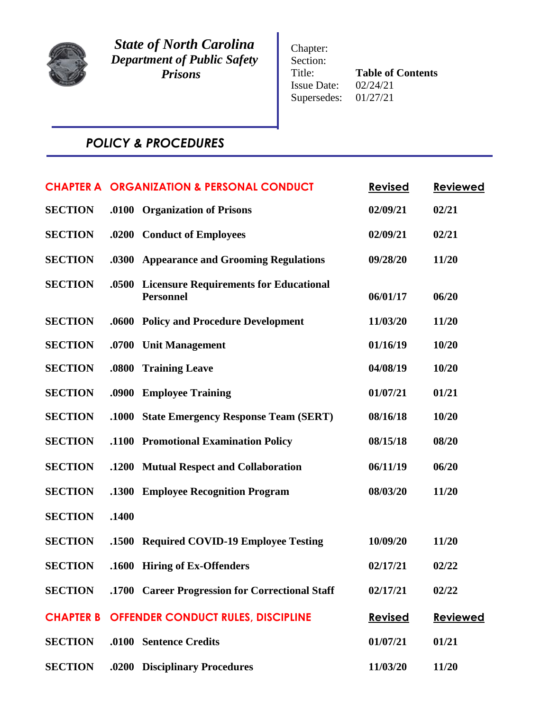

*State of North Carolina Department of Public Safety Prisons*

Chapter: Section: Title: **Table of Contents**<br>Issue Date:  $02/24/21$ Issue Date: Supersedes: 01/27/21

# *POLICY & PROCEDURES*

|                  |              | <b>CHAPTER A ORGANIZATION &amp; PERSONAL CONDUCT</b>              | <b>Revised</b> | <b>Reviewed</b> |
|------------------|--------------|-------------------------------------------------------------------|----------------|-----------------|
| <b>SECTION</b>   | .0100        | <b>Organization of Prisons</b>                                    | 02/09/21       | 02/21           |
| <b>SECTION</b>   | .0200        | <b>Conduct of Employees</b>                                       | 02/09/21       | 02/21           |
| <b>SECTION</b>   | .0300        | <b>Appearance and Grooming Regulations</b>                        | 09/28/20       | 11/20           |
| <b>SECTION</b>   | .0500        | <b>Licensure Requirements for Educational</b><br><b>Personnel</b> | 06/01/17       | 06/20           |
| <b>SECTION</b>   | .0600        | <b>Policy and Procedure Development</b>                           | 11/03/20       | 11/20           |
| <b>SECTION</b>   | .0700        | <b>Unit Management</b>                                            | 01/16/19       | 10/20           |
| <b>SECTION</b>   | .0800        | <b>Training Leave</b>                                             | 04/08/19       | 10/20           |
| <b>SECTION</b>   | .0900        | <b>Employee Training</b>                                          | 01/07/21       | 01/21           |
| <b>SECTION</b>   | <b>.1000</b> | <b>State Emergency Response Team (SERT)</b>                       | 08/16/18       | 10/20           |
| <b>SECTION</b>   | .1100        | <b>Promotional Examination Policy</b>                             | 08/15/18       | 08/20           |
| <b>SECTION</b>   | .1200        | <b>Mutual Respect and Collaboration</b>                           | 06/11/19       | 06/20           |
| <b>SECTION</b>   | .1300        | <b>Employee Recognition Program</b>                               | 08/03/20       | 11/20           |
| <b>SECTION</b>   | .1400        |                                                                   |                |                 |
| <b>SECTION</b>   | .1500        | <b>Required COVID-19 Employee Testing</b>                         | 10/09/20       | 11/20           |
| <b>SECTION</b>   | .1600        | <b>Hiring of Ex-Offenders</b>                                     | 02/17/21       | 02/22           |
| <b>SECTION</b>   |              | .1700 Career Progression for Correctional Staff                   | 02/17/21       | 02/22           |
| <b>CHAPTER B</b> |              | <b>OFFENDER CONDUCT RULES, DISCIPLINE</b>                         | <b>Revised</b> | <b>Reviewed</b> |
| <b>SECTION</b>   |              | .0100 Sentence Credits                                            | 01/07/21       | 01/21           |
| <b>SECTION</b>   |              | .0200 Disciplinary Procedures                                     | 11/03/20       | 11/20           |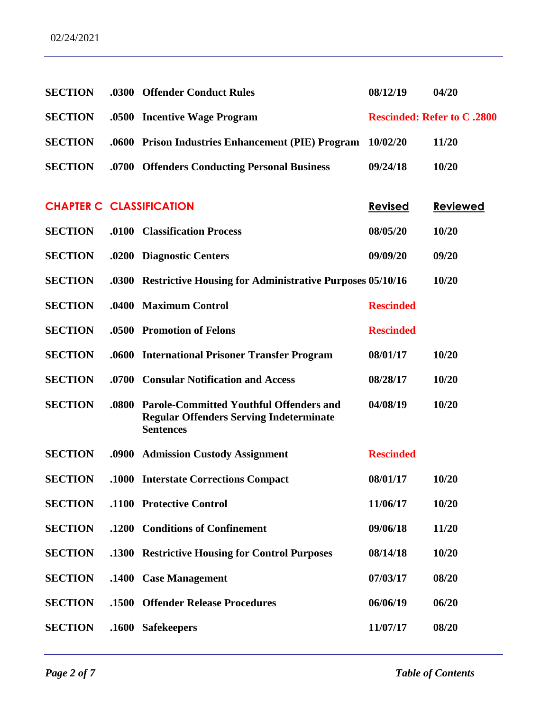| <b>SECTION</b>                  |              | .0300 Offender Conduct Rules                                                                                         | 08/12/19         | 04/20                              |
|---------------------------------|--------------|----------------------------------------------------------------------------------------------------------------------|------------------|------------------------------------|
| <b>SECTION</b>                  |              | .0500 Incentive Wage Program                                                                                         |                  | <b>Rescinded: Refer to C .2800</b> |
| <b>SECTION</b>                  |              | .0600 Prison Industries Enhancement (PIE) Program                                                                    | 10/02/20         | 11/20                              |
| <b>SECTION</b>                  |              | .0700 Offenders Conducting Personal Business                                                                         | 09/24/18         | 10/20                              |
|                                 |              |                                                                                                                      |                  |                                    |
| <b>CHAPTER C CLASSIFICATION</b> |              |                                                                                                                      | <b>Revised</b>   | <b>Reviewed</b>                    |
| <b>SECTION</b>                  |              | .0100 Classification Process                                                                                         | 08/05/20         | 10/20                              |
| <b>SECTION</b>                  |              | .0200 Diagnostic Centers                                                                                             | 09/09/20         | 09/20                              |
| <b>SECTION</b>                  |              | .0300 Restrictive Housing for Administrative Purposes 05/10/16                                                       |                  | 10/20                              |
| <b>SECTION</b>                  |              | .0400 Maximum Control                                                                                                | <b>Rescinded</b> |                                    |
| <b>SECTION</b>                  |              | .0500 Promotion of Felons                                                                                            | <b>Rescinded</b> |                                    |
| <b>SECTION</b>                  |              | .0600 International Prisoner Transfer Program                                                                        | 08/01/17         | 10/20                              |
| <b>SECTION</b>                  |              | .0700 Consular Notification and Access                                                                               | 08/28/17         | 10/20                              |
| <b>SECTION</b>                  | .0800        | <b>Parole-Committed Youthful Offenders and</b><br><b>Regular Offenders Serving Indeterminate</b><br><b>Sentences</b> | 04/08/19         | 10/20                              |
| <b>SECTION</b>                  |              | .0900 Admission Custody Assignment                                                                                   | <b>Rescinded</b> |                                    |
| <b>SECTION</b>                  |              | .1000 Interstate Corrections Compact                                                                                 | 08/01/17         | 10/20                              |
| <b>SECTION</b>                  |              | .1100 Protective Control                                                                                             | 11/06/17         | 10/20                              |
| <b>SECTION</b>                  |              | .1200 Conditions of Confinement                                                                                      | 09/06/18         | 11/20                              |
| <b>SECTION</b>                  |              | .1300 Restrictive Housing for Control Purposes                                                                       | 08/14/18         | 10/20                              |
| <b>SECTION</b>                  | <b>.1400</b> | <b>Case Management</b>                                                                                               | 07/03/17         | 08/20                              |
| <b>SECTION</b>                  |              | .1500 Offender Release Procedures                                                                                    | 06/06/19         | 06/20                              |
| <b>SECTION</b>                  | .1600        | <b>Safekeepers</b>                                                                                                   | 11/07/17         | 08/20                              |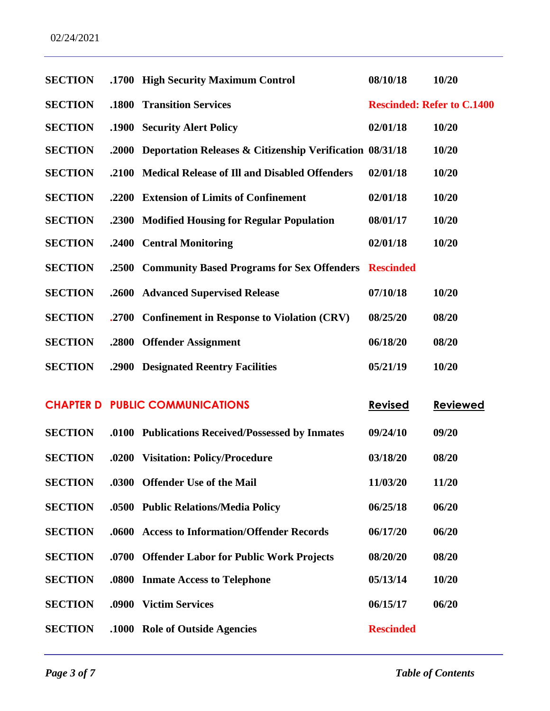| <b>SECTION</b> |       | .1700 High Security Maximum Control                            | 08/10/18                          | 10/20           |
|----------------|-------|----------------------------------------------------------------|-----------------------------------|-----------------|
| <b>SECTION</b> | .1800 | <b>Transition Services</b>                                     | <b>Rescinded: Refer to C.1400</b> |                 |
| <b>SECTION</b> |       | .1900 Security Alert Policy                                    | 02/01/18                          | 10/20           |
| <b>SECTION</b> |       | .2000 Deportation Releases & Citizenship Verification 08/31/18 |                                   | 10/20           |
| <b>SECTION</b> | .2100 | <b>Medical Release of Ill and Disabled Offenders</b>           | 02/01/18                          | 10/20           |
| <b>SECTION</b> |       | .2200 Extension of Limits of Confinement                       | 02/01/18                          | 10/20           |
| <b>SECTION</b> |       | .2300 Modified Housing for Regular Population                  | 08/01/17                          | 10/20           |
| <b>SECTION</b> | .2400 | <b>Central Monitoring</b>                                      | 02/01/18                          | 10/20           |
| <b>SECTION</b> | .2500 | <b>Community Based Programs for Sex Offenders</b>              | <b>Rescinded</b>                  |                 |
| <b>SECTION</b> |       | .2600 Advanced Supervised Release                              | 07/10/18                          | 10/20           |
| <b>SECTION</b> | .2700 | <b>Confinement in Response to Violation (CRV)</b>              | 08/25/20                          | 08/20           |
| <b>SECTION</b> |       | .2800 Offender Assignment                                      | 06/18/20                          | 08/20           |
| <b>SECTION</b> |       | .2900 Designated Reentry Facilities                            | 05/21/19                          | 10/20           |
|                |       | <b>CHAPTER D PUBLIC COMMUNICATIONS</b>                         | <b>Revised</b>                    | <b>Reviewed</b> |
| <b>SECTION</b> |       | .0100 Publications Received/Possessed by Inmates               | 09/24/10                          | 09/20           |
| <b>SECTION</b> | .0200 | <b>Visitation: Policy/Procedure</b>                            | 03/18/20                          | 08/20           |
| <b>SECTION</b> |       | .0300 Offender Use of the Mail                                 | 11/03/20                          | 11/20           |
| <b>SECTION</b> |       | .0500 Public Relations/Media Policy                            | 06/25/18                          | 06/20           |
| <b>SECTION</b> | .0600 | <b>Access to Information/Offender Records</b>                  | 06/17/20                          | 06/20           |
| <b>SECTION</b> |       | .0700 Offender Labor for Public Work Projects                  | 08/20/20                          | 08/20           |
| <b>SECTION</b> |       | .0800 Inmate Access to Telephone                               | 05/13/14                          | 10/20           |
| <b>SECTION</b> | .0900 | <b>Victim Services</b>                                         | 06/15/17                          | 06/20           |
| <b>SECTION</b> |       | .1000 Role of Outside Agencies                                 | <b>Rescinded</b>                  |                 |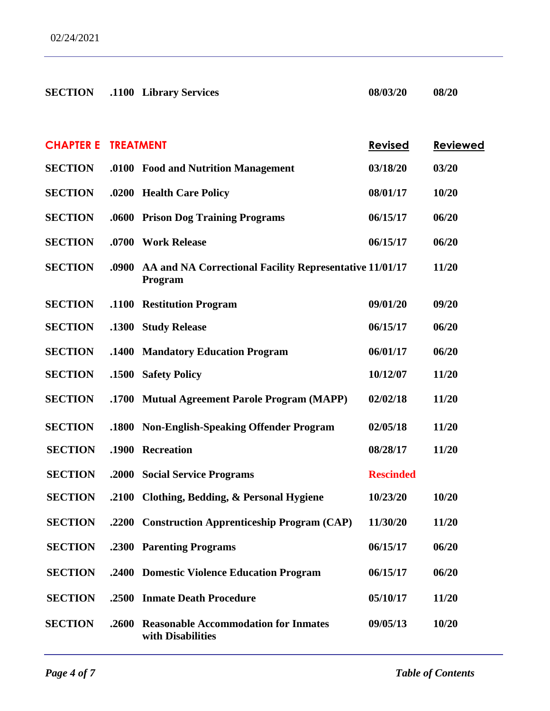| <b>SECTION</b>   |                  | .1100 Library Services                                             | 08/03/20         | 08/20           |
|------------------|------------------|--------------------------------------------------------------------|------------------|-----------------|
|                  |                  |                                                                    |                  |                 |
| <b>CHAPTER E</b> | <b>TREATMENT</b> |                                                                    | <b>Revised</b>   | <b>Reviewed</b> |
| <b>SECTION</b>   |                  | .0100 Food and Nutrition Management                                | 03/18/20         | 03/20           |
| <b>SECTION</b>   |                  | .0200 Health Care Policy                                           | 08/01/17         | 10/20           |
| <b>SECTION</b>   |                  | .0600 Prison Dog Training Programs                                 | 06/15/17         | 06/20           |
| <b>SECTION</b>   | .0700            | <b>Work Release</b>                                                | 06/15/17         | 06/20           |
| <b>SECTION</b>   | .0900            | AA and NA Correctional Facility Representative 11/01/17<br>Program |                  | 11/20           |
| <b>SECTION</b>   |                  | .1100 Restitution Program                                          | 09/01/20         | 09/20           |
| <b>SECTION</b>   | .1300            | <b>Study Release</b>                                               | 06/15/17         | 06/20           |
| <b>SECTION</b>   | .1400            | <b>Mandatory Education Program</b>                                 | 06/01/17         | 06/20           |
| <b>SECTION</b>   | .1500            | <b>Safety Policy</b>                                               | 10/12/07         | 11/20           |
| <b>SECTION</b>   | .1700            | <b>Mutual Agreement Parole Program (MAPP)</b>                      | 02/02/18         | 11/20           |
| <b>SECTION</b>   | .1800            | <b>Non-English-Speaking Offender Program</b>                       | 02/05/18         | 11/20           |
| <b>SECTION</b>   | .1900            | Recreation                                                         | 08/28/17         | 11/20           |
| <b>SECTION</b>   | .2000            | <b>Social Service Programs</b>                                     | <b>Rescinded</b> |                 |
| <b>SECTION</b>   |                  | .2100 Clothing, Bedding, & Personal Hygiene                        | 10/23/20         | 10/20           |
| <b>SECTION</b>   |                  | .2200 Construction Apprenticeship Program (CAP)                    | 11/30/20         | 11/20           |
| <b>SECTION</b>   |                  | .2300 Parenting Programs                                           | 06/15/17         | 06/20           |
| <b>SECTION</b>   |                  | .2400 Domestic Violence Education Program                          | 06/15/17         | 06/20           |
| <b>SECTION</b>   | .2500            | <b>Inmate Death Procedure</b>                                      | 05/10/17         | 11/20           |
| <b>SECTION</b>   | .2600            | <b>Reasonable Accommodation for Inmates</b><br>with Disabilities   | 09/05/13         | 10/20           |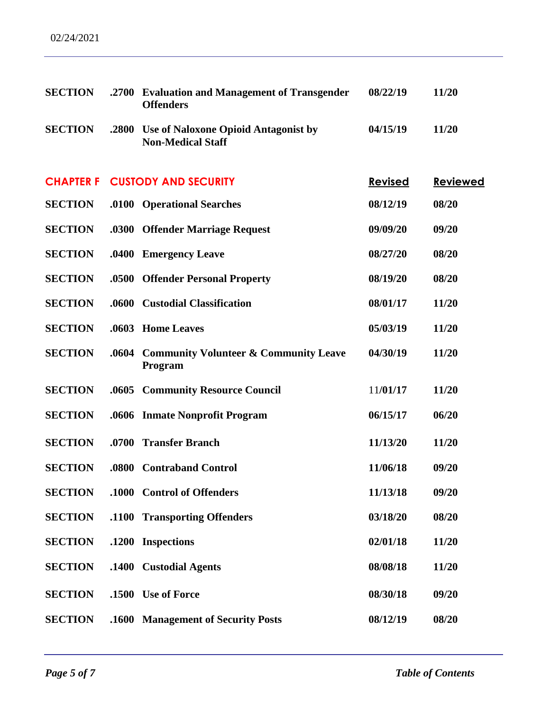| <b>SECTION</b>   | .2700 | <b>Evaluation and Management of Transgender</b><br><b>Offenders</b> | 08/22/19       | 11/20           |
|------------------|-------|---------------------------------------------------------------------|----------------|-----------------|
| <b>SECTION</b>   | .2800 | Use of Naloxone Opioid Antagonist by<br><b>Non-Medical Staff</b>    | 04/15/19       | 11/20           |
| <b>CHAPTER F</b> |       | <b>CUSTODY AND SECURITY</b>                                         | <b>Revised</b> | <b>Reviewed</b> |
| <b>SECTION</b>   | .0100 | <b>Operational Searches</b>                                         | 08/12/19       | 08/20           |
| <b>SECTION</b>   | .0300 | <b>Offender Marriage Request</b>                                    | 09/09/20       | 09/20           |
| <b>SECTION</b>   | .0400 | <b>Emergency Leave</b>                                              | 08/27/20       | 08/20           |
| <b>SECTION</b>   | .0500 | <b>Offender Personal Property</b>                                   | 08/19/20       | 08/20           |
| <b>SECTION</b>   | .0600 | <b>Custodial Classification</b>                                     | 08/01/17       | 11/20           |
| <b>SECTION</b>   | .0603 | <b>Home Leaves</b>                                                  | 05/03/19       | 11/20           |
| <b>SECTION</b>   | .0604 | <b>Community Volunteer &amp; Community Leave</b><br>Program         | 04/30/19       | 11/20           |
| <b>SECTION</b>   | .0605 | <b>Community Resource Council</b>                                   | 11/01/17       | 11/20           |
| <b>SECTION</b>   | .0606 | <b>Inmate Nonprofit Program</b>                                     | 06/15/17       | 06/20           |
| <b>SECTION</b>   | .0700 | <b>Transfer Branch</b>                                              | 11/13/20       | 11/20           |
| <b>SECTION</b>   | .0800 | <b>Contraband Control</b>                                           | 11/06/18       | 09/20           |
| <b>SECTION</b>   |       | .1000 Control of Offenders                                          | 11/13/18       | 09/20           |
| <b>SECTION</b>   |       | .1100 Transporting Offenders                                        | 03/18/20       | 08/20           |
| <b>SECTION</b>   | .1200 | <b>Inspections</b>                                                  | 02/01/18       | 11/20           |
| <b>SECTION</b>   |       | .1400 Custodial Agents                                              | 08/08/18       | 11/20           |
| <b>SECTION</b>   |       | .1500 Use of Force                                                  | 08/30/18       | 09/20           |
| <b>SECTION</b>   |       | .1600 Management of Security Posts                                  | 08/12/19       | 08/20           |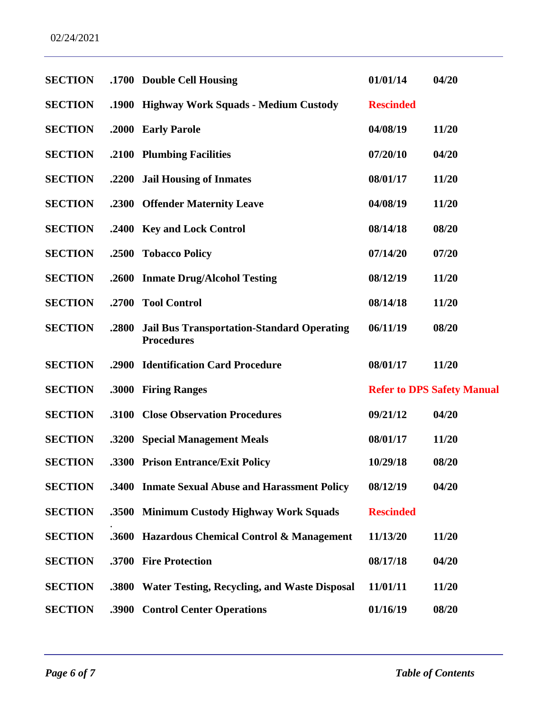| <b>SECTION</b> |       | .1700 Double Cell Housing                                              | 01/01/14         | 04/20                             |
|----------------|-------|------------------------------------------------------------------------|------------------|-----------------------------------|
| <b>SECTION</b> |       | .1900 Highway Work Squads - Medium Custody                             | <b>Rescinded</b> |                                   |
| <b>SECTION</b> |       | .2000 Early Parole                                                     | 04/08/19         | 11/20                             |
| <b>SECTION</b> |       | .2100 Plumbing Facilities                                              | 07/20/10         | 04/20                             |
| <b>SECTION</b> | .2200 | <b>Jail Housing of Inmates</b>                                         | 08/01/17         | 11/20                             |
| <b>SECTION</b> |       | .2300 Offender Maternity Leave                                         | 04/08/19         | 11/20                             |
| <b>SECTION</b> |       | .2400 Key and Lock Control                                             | 08/14/18         | 08/20                             |
| <b>SECTION</b> | .2500 | <b>Tobacco Policy</b>                                                  | 07/14/20         | 07/20                             |
| <b>SECTION</b> |       | .2600 Inmate Drug/Alcohol Testing                                      | 08/12/19         | 11/20                             |
| <b>SECTION</b> |       | .2700 Tool Control                                                     | 08/14/18         | 11/20                             |
| <b>SECTION</b> | .2800 | <b>Jail Bus Transportation-Standard Operating</b><br><b>Procedures</b> | 06/11/19         | 08/20                             |
| <b>SECTION</b> | .2900 | <b>Identification Card Procedure</b>                                   | 08/01/17         | 11/20                             |
| <b>SECTION</b> | .3000 | <b>Firing Ranges</b>                                                   |                  | <b>Refer to DPS Safety Manual</b> |
| <b>SECTION</b> | .3100 | <b>Close Observation Procedures</b>                                    | 09/21/12         | 04/20                             |
| <b>SECTION</b> |       | .3200 Special Management Meals                                         | 08/01/17         | 11/20                             |
| <b>SECTION</b> |       | .3300 Prison Entrance/Exit Policy                                      | 10/29/18         | 08/20                             |
| <b>SECTION</b> |       | .3400 Inmate Sexual Abuse and Harassment Policy                        | 08/12/19         | 04/20                             |
| <b>SECTION</b> | .3500 | <b>Minimum Custody Highway Work Squads</b>                             | <b>Rescinded</b> |                                   |
| <b>SECTION</b> | .3600 | <b>Hazardous Chemical Control &amp; Management</b>                     | 11/13/20         | 11/20                             |
| <b>SECTION</b> | .3700 | <b>Fire Protection</b>                                                 | 08/17/18         | 04/20                             |
| <b>SECTION</b> | .3800 | <b>Water Testing, Recycling, and Waste Disposal</b>                    | 11/01/11         | 11/20                             |
| <b>SECTION</b> | .3900 | <b>Control Center Operations</b>                                       | 01/16/19         | 08/20                             |